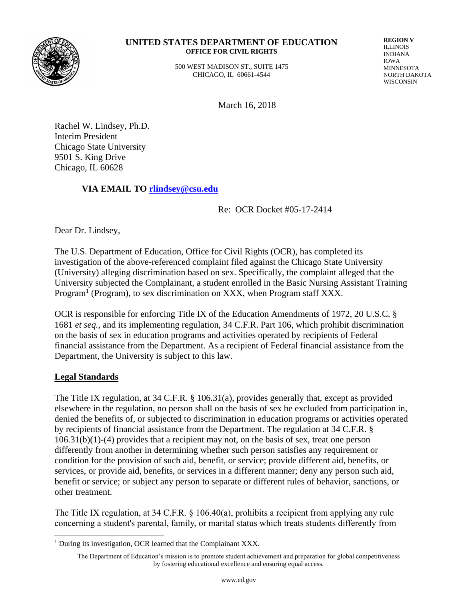

#### **UNITED STATES DEPARTMENT OF EDUCATION OFFICE FOR CIVIL RIGHTS**

 500 WEST MADISON ST., SUITE 1475 CHICAGO, IL 60661-4544

**REGION V** ILLINOIS INDIANA IOWA MINNESOTA NORTH DAKOTA **WISCONSIN** 

March 16, 2018

Rachel W. Lindsey, Ph.D. Interim President Chicago State University 9501 S. King Drive Chicago, IL 60628

## **VIA EMAIL TO [rlindsey@csu.edu](mailto:rlindsey@csu.edu)**

Re: OCR Docket #05-17-2414

Dear Dr. Lindsey,

The U.S. Department of Education, Office for Civil Rights (OCR), has completed its investigation of the above-referenced complaint filed against the Chicago State University (University) alleging discrimination based on sex. Specifically, the complaint alleged that the University subjected the Complainant, a student enrolled in the Basic Nursing Assistant Training Program<sup>1</sup> (Program), to sex discrimination on XXX, when Program staff XXX.

OCR is responsible for enforcing Title IX of the Education Amendments of 1972, 20 U.S.C. § 1681 *et seq.,* and its implementing regulation, 34 C.F.R. Part 106, which prohibit discrimination on the basis of sex in education programs and activities operated by recipients of Federal financial assistance from the Department. As a recipient of Federal financial assistance from the Department, the University is subject to this law.

## **Legal Standards**

 $\overline{\phantom{a}}$ 

The Title IX regulation, at 34 C.F.R. § 106.31(a), provides generally that, except as provided elsewhere in the regulation, no person shall on the basis of sex be excluded from participation in, denied the benefits of, or subjected to discrimination in education programs or activities operated by recipients of financial assistance from the Department. The regulation at 34 C.F.R. § 106.31(b)(1)-(4) provides that a recipient may not, on the basis of sex, treat one person differently from another in determining whether such person satisfies any requirement or condition for the provision of such aid, benefit, or service; provide different aid, benefits, or services, or provide aid, benefits, or services in a different manner; deny any person such aid, benefit or service; or subject any person to separate or different rules of behavior, sanctions, or other treatment.

The Title IX regulation, at 34 C.F.R. § 106.40(a), prohibits a recipient from applying any rule concerning a student's parental, family, or marital status which treats students differently from

<sup>&</sup>lt;sup>1</sup> During its investigation, OCR learned that the Complainant XXX.

The Department of Education's mission is to promote student achievement and preparation for global competitiveness by fostering educational excellence and ensuring equal access.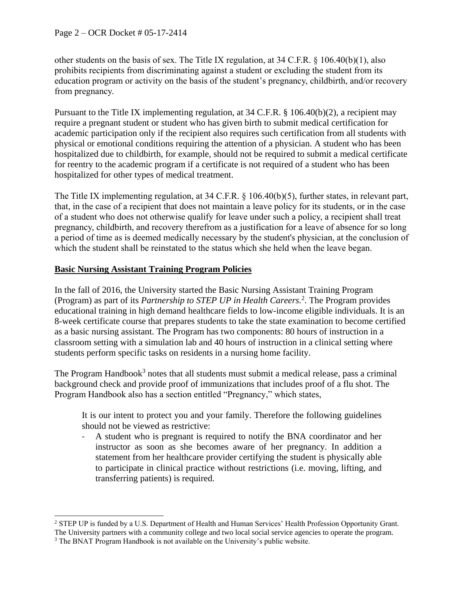other students on the basis of sex. The Title IX regulation, at 34 C.F.R. § 106.40(b)(1), also prohibits recipients from discriminating against a student or excluding the student from its education program or activity on the basis of the student's pregnancy, childbirth, and/or recovery from pregnancy.

Pursuant to the Title IX implementing regulation, at 34 C.F.R. § 106.40(b)(2), a recipient may require a pregnant student or student who has given birth to submit medical certification for academic participation only if the recipient also requires such certification from all students with physical or emotional conditions requiring the attention of a physician. A student who has been hospitalized due to childbirth, for example, should not be required to submit a medical certificate for reentry to the academic program if a certificate is not required of a student who has been hospitalized for other types of medical treatment.

The Title IX implementing regulation, at 34 C.F.R. § 106.40(b)(5), further states, in relevant part, that, in the case of a recipient that does not maintain a leave policy for its students, or in the case of a student who does not otherwise qualify for leave under such a policy, a recipient shall treat pregnancy, childbirth, and recovery therefrom as a justification for a leave of absence for so long a period of time as is deemed medically necessary by the student's physician, at the conclusion of which the student shall be reinstated to the status which she held when the leave began.

## **Basic Nursing Assistant Training Program Policies**

In the fall of 2016, the University started the Basic Nursing Assistant Training Program (Program) as part of its *Partnership to STEP UP in Health Careers.* 2 . The Program provides educational training in high demand healthcare fields to low-income eligible individuals. It is an 8-week certificate course that prepares students to take the state examination to become certified as a basic nursing assistant. The Program has two components: 80 hours of instruction in a classroom setting with a simulation lab and 40 hours of instruction in a clinical setting where students perform specific tasks on residents in a nursing home facility.

The Program Handbook<sup>3</sup> notes that all students must submit a medical release, pass a criminal background check and provide proof of immunizations that includes proof of a flu shot. The Program Handbook also has a section entitled "Pregnancy," which states,

It is our intent to protect you and your family. Therefore the following guidelines should not be viewed as restrictive:

- A student who is pregnant is required to notify the BNA coordinator and her instructor as soon as she becomes aware of her pregnancy. In addition a statement from her healthcare provider certifying the student is physically able to participate in clinical practice without restrictions (i.e. moving, lifting, and transferring patients) is required.

 $\overline{\phantom{a}}$ <sup>2</sup> STEP UP is funded by a U.S. Department of Health and Human Services' Health Profession Opportunity Grant. The University partners with a community college and two local social service agencies to operate the program.

<sup>&</sup>lt;sup>3</sup> The BNAT Program Handbook is not available on the University's public website.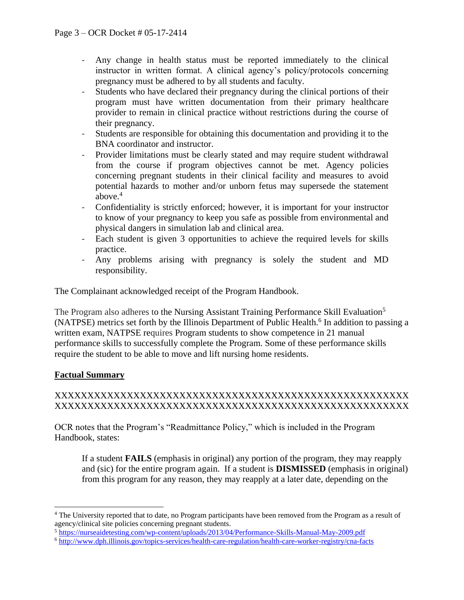- Any change in health status must be reported immediately to the clinical instructor in written format. A clinical agency's policy/protocols concerning pregnancy must be adhered to by all students and faculty.
- Students who have declared their pregnancy during the clinical portions of their program must have written documentation from their primary healthcare provider to remain in clinical practice without restrictions during the course of their pregnancy.
- Students are responsible for obtaining this documentation and providing it to the BNA coordinator and instructor.
- Provider limitations must be clearly stated and may require student withdrawal from the course if program objectives cannot be met. Agency policies concerning pregnant students in their clinical facility and measures to avoid potential hazards to mother and/or unborn fetus may supersede the statement above. $4$
- Confidentiality is strictly enforced; however, it is important for your instructor to know of your pregnancy to keep you safe as possible from environmental and physical dangers in simulation lab and clinical area.
- Each student is given 3 opportunities to achieve the required levels for skills practice.
- Any problems arising with pregnancy is solely the student and MD responsibility.

The Complainant acknowledged receipt of the Program Handbook.

The Program also adheres to the Nursing Assistant Training Performance Skill Evaluation<sup>5</sup> (NATPSE) metrics set forth by the Illinois Department of Public Health.<sup>6</sup> In addition to passing a written exam, NATPSE requires Program students to show competence in 21 manual performance skills to successfully complete the Program. Some of these performance skills require the student to be able to move and lift nursing home residents.

# **Factual Summary**

 $\overline{\phantom{a}}$ 

## XXXXXXXXXXXXXXXXXXXXXXXXXXXXXXXXXXXXXXXXXXXXXXXXXXXXXX XXXXXXXXXXXXXXXXXXXXXXXXXXXXXXXXXXXXXXXXXXXXXXXXXXXXXX

OCR notes that the Program's "Readmittance Policy," which is included in the Program Handbook, states:

If a student **FAILS** (emphasis in original) any portion of the program, they may reapply and (sic) for the entire program again. If a student is **DISMISSED** (emphasis in original) from this program for any reason, they may reapply at a later date, depending on the

<sup>4</sup> The University reported that to date, no Program participants have been removed from the Program as a result of agency/clinical site policies concerning pregnant students.

<sup>5</sup> <https://nurseaidetesting.com/wp-content/uploads/2013/04/Performance-Skills-Manual-May-2009.pdf>

<sup>6</sup> <http://www.dph.illinois.gov/topics-services/health-care-regulation/health-care-worker-registry/cna-facts>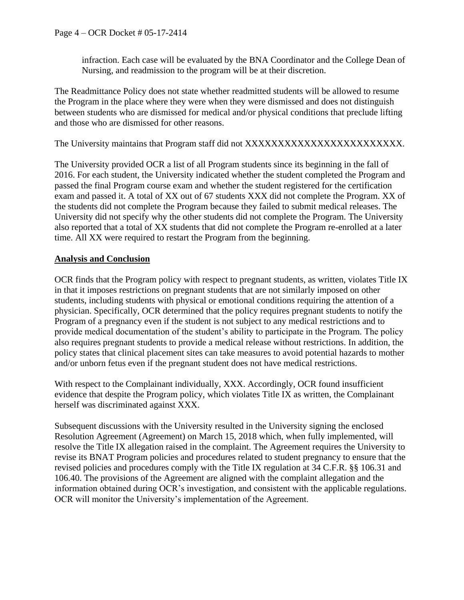infraction. Each case will be evaluated by the BNA Coordinator and the College Dean of Nursing, and readmission to the program will be at their discretion.

The Readmittance Policy does not state whether readmitted students will be allowed to resume the Program in the place where they were when they were dismissed and does not distinguish between students who are dismissed for medical and/or physical conditions that preclude lifting and those who are dismissed for other reasons.

The University maintains that Program staff did not XXXXXXXXXXXXXXXXXXXXXXXX.

The University provided OCR a list of all Program students since its beginning in the fall of 2016. For each student, the University indicated whether the student completed the Program and passed the final Program course exam and whether the student registered for the certification exam and passed it. A total of XX out of 67 students XXX did not complete the Program. XX of the students did not complete the Program because they failed to submit medical releases. The University did not specify why the other students did not complete the Program. The University also reported that a total of XX students that did not complete the Program re-enrolled at a later time. All XX were required to restart the Program from the beginning.

## **Analysis and Conclusion**

OCR finds that the Program policy with respect to pregnant students, as written, violates Title IX in that it imposes restrictions on pregnant students that are not similarly imposed on other students, including students with physical or emotional conditions requiring the attention of a physician. Specifically, OCR determined that the policy requires pregnant students to notify the Program of a pregnancy even if the student is not subject to any medical restrictions and to provide medical documentation of the student's ability to participate in the Program. The policy also requires pregnant students to provide a medical release without restrictions. In addition, the policy states that clinical placement sites can take measures to avoid potential hazards to mother and/or unborn fetus even if the pregnant student does not have medical restrictions.

With respect to the Complainant individually, XXX. Accordingly, OCR found insufficient evidence that despite the Program policy, which violates Title IX as written, the Complainant herself was discriminated against XXX.

Subsequent discussions with the University resulted in the University signing the enclosed Resolution Agreement (Agreement) on March 15, 2018 which, when fully implemented, will resolve the Title IX allegation raised in the complaint. The Agreement requires the University to revise its BNAT Program policies and procedures related to student pregnancy to ensure that the revised policies and procedures comply with the Title IX regulation at 34 C.F.R. §§ 106.31 and 106.40. The provisions of the Agreement are aligned with the complaint allegation and the information obtained during OCR's investigation, and consistent with the applicable regulations. OCR will monitor the University's implementation of the Agreement.